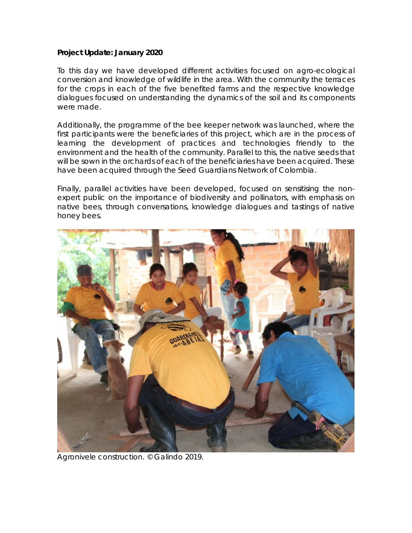## **Project Update: January 2020**

To this day we have developed different activities focused on agro-ecological conversion and knowledge of wildlife in the area. With the community the terraces for the crops in each of the five benefited farms and the respective knowledge dialogues focused on understanding the dynamics of the soil and its components were made.

Additionally, the programme of the bee keeper network was launched, where the first participants were the beneficiaries of this project, which are in the process of learning the development of practices and technologies friendly to the environment and the health of the community. Parallel to this, the native seeds that will be sown in the orchards of each of the beneficiaries have been acquired. These have been acquired through the Seed Guardians Network of Colombia.

Finally, parallel activities have been developed, focused on sensitising the nonexpert public on the importance of biodiversity and pollinators, with emphasis on native bees, through conversations, knowledge dialogues and tastings of native honey bees.



Agronivele construction. © Galindo 2019.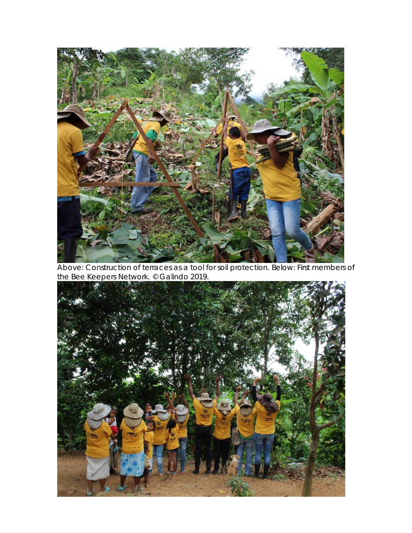

Above: Construction of terraces as a tool for soil protection. Below: First members of the Bee Keepers Network. © Galindo 2019.

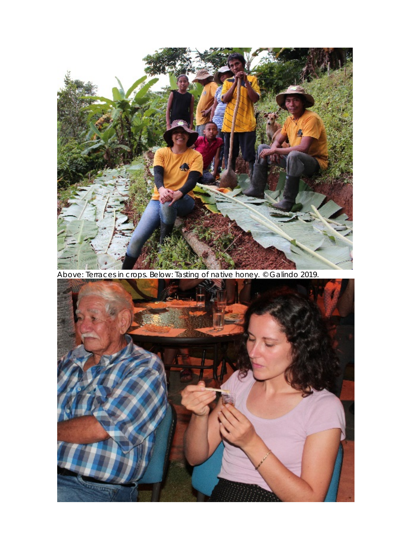

Above: Terraces in crops. Below: Tasting of native honey. © Galindo 2019.